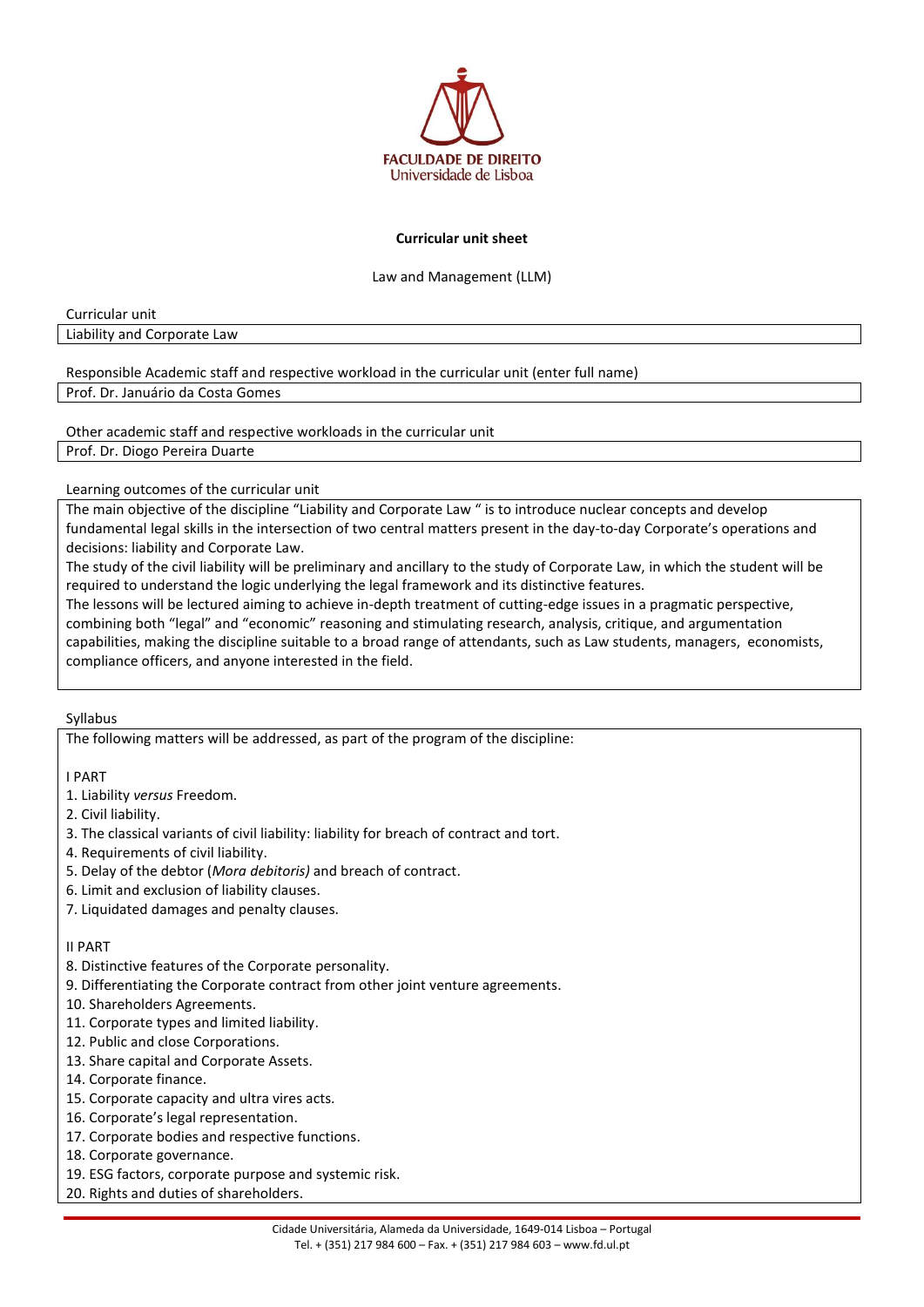

## **Curricular unit sheet**

Law and Management (LLM)

Curricular unit

Liability and Corporate Law

Responsible Academic staff and respective workload in the curricular unit (enter full name)

Prof. Dr. Januário da Costa Gomes

Other academic staff and respective workloads in the curricular unit

Prof. Dr. Diogo Pereira Duarte

## Learning outcomes of the curricular unit

The main objective of the discipline "Liability and Corporate Law " is to introduce nuclear concepts and develop fundamental legal skills in the intersection of two central matters present in the day-to-day Corporate's operations and decisions: liability and Corporate Law.

The study of the civil liability will be preliminary and ancillary to the study of Corporate Law, in which the student will be required to understand the logic underlying the legal framework and its distinctive features.

The lessons will be lectured aiming to achieve in-depth treatment of cutting-edge issues in a pragmatic perspective, combining both "legal" and "economic" reasoning and stimulating research, analysis, critique, and argumentation capabilities, making the discipline suitable to a broad range of attendants, such as Law students, managers, economists, compliance officers, and anyone interested in the field.

Syllabus

The following matters will be addressed, as part of the program of the discipline:

I PART

- 1. Liability *versus* Freedom.
- 2. Civil liability.
- 3. The classical variants of civil liability: liability for breach of contract and tort.
- 4. Requirements of civil liability.
- 5. Delay of the debtor (*Mora debitoris)* and breach of contract.
- 6. Limit and exclusion of liability clauses.
- 7. Liquidated damages and penalty clauses.

## II PART

- 8. Distinctive features of the Corporate personality.
- 9. Differentiating the Corporate contract from other joint venture agreements.
- 10. Shareholders Agreements.
- 11. Corporate types and limited liability.
- 12. Public and close Corporations.
- 13. Share capital and Corporate Assets.
- 14. Corporate finance.
- 15. Corporate capacity and ultra vires acts.
- 16. Corporate's legal representation.
- 17. Corporate bodies and respective functions.
- 18. Corporate governance.
- 19. ESG factors, corporate purpose and systemic risk.
- 20. Rights and duties of shareholders.